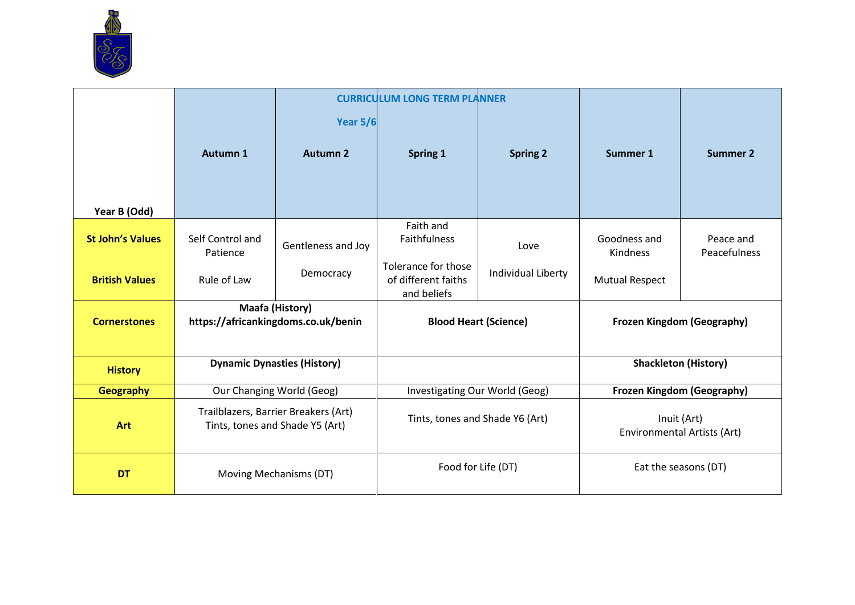

|                         |                                                                         |                    | <b>CURRICULUM LONG TERM PLANNER</b>                       |                    |                                            |                             |
|-------------------------|-------------------------------------------------------------------------|--------------------|-----------------------------------------------------------|--------------------|--------------------------------------------|-----------------------------|
|                         |                                                                         | <b>Year 5/6</b>    |                                                           |                    |                                            |                             |
|                         | <b>Autumn 1</b>                                                         | <b>Autumn 2</b>    | Spring 1                                                  | <b>Spring 2</b>    | Summer 1                                   | <b>Summer 2</b>             |
| Year B (Odd)            |                                                                         |                    |                                                           |                    |                                            |                             |
| <b>St John's Values</b> | Self Control and<br>Patience                                            | Gentleness and Joy | Faith and<br><b>Faithfulness</b>                          | Love               | Goodness and<br>Kindness                   | Peace and<br>Peacefulness   |
| <b>British Values</b>   | Rule of Law                                                             | Democracy          | Tolerance for those<br>of different faiths<br>and beliefs | Individual Liberty | <b>Mutual Respect</b>                      |                             |
| <b>Cornerstones</b>     | <b>Maafa (History)</b><br>https://africankingdoms.co.uk/benin           |                    | <b>Blood Heart (Science)</b>                              |                    | <b>Frozen Kingdom (Geography)</b>          |                             |
| <b>History</b>          | <b>Dynamic Dynasties (History)</b>                                      |                    |                                                           |                    |                                            | <b>Shackleton (History)</b> |
| Geography               | Our Changing World (Geog)                                               |                    | Investigating Our World (Geog)                            |                    | Frozen Kingdom (Geography)                 |                             |
| <b>Art</b>              | Trailblazers, Barrier Breakers (Art)<br>Tints, tones and Shade Y5 (Art) |                    | Tints, tones and Shade Y6 (Art)                           |                    | Inuit (Art)<br>Environmental Artists (Art) |                             |
| <b>DT</b>               | Moving Mechanisms (DT)                                                  |                    | Food for Life (DT)                                        |                    | Eat the seasons (DT)                       |                             |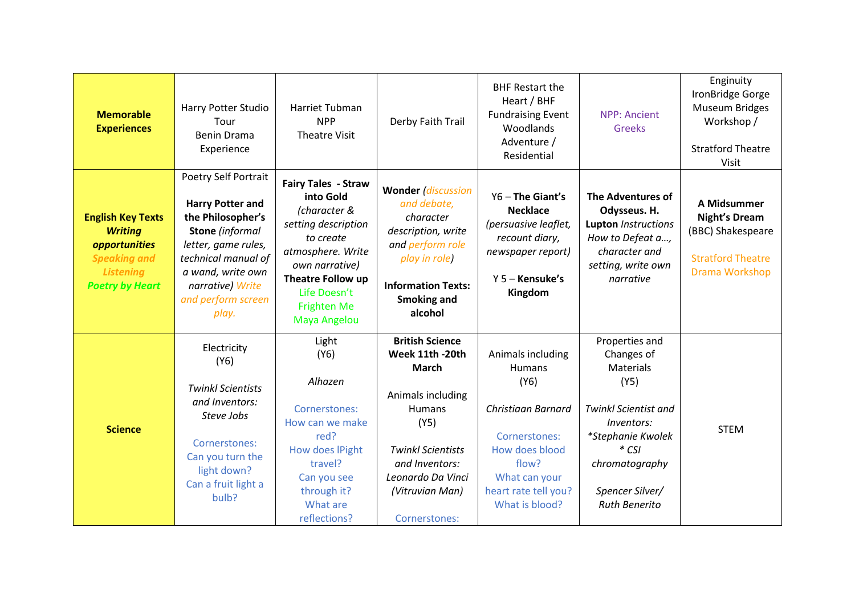| <b>Memorable</b><br><b>Experiences</b>                                                                                           | Harry Potter Studio<br>Tour<br><b>Benin Drama</b><br>Experience                                                                                                                                                      | <b>Harriet Tubman</b><br><b>NPP</b><br><b>Theatre Visit</b>                                                                                                                                                   | Derby Faith Trail                                                                                                                                                                                              | <b>BHF Restart the</b><br>Heart / BHF<br><b>Fundraising Event</b><br>Woodlands<br>Adventure /<br>Residential                                                            | <b>NPP: Ancient</b><br>Greeks                                                                                                                                                                      | Enginuity<br>IronBridge Gorge<br><b>Museum Bridges</b><br>Workshop /<br><b>Stratford Theatre</b><br><b>Visit</b> |
|----------------------------------------------------------------------------------------------------------------------------------|----------------------------------------------------------------------------------------------------------------------------------------------------------------------------------------------------------------------|---------------------------------------------------------------------------------------------------------------------------------------------------------------------------------------------------------------|----------------------------------------------------------------------------------------------------------------------------------------------------------------------------------------------------------------|-------------------------------------------------------------------------------------------------------------------------------------------------------------------------|----------------------------------------------------------------------------------------------------------------------------------------------------------------------------------------------------|------------------------------------------------------------------------------------------------------------------|
| <b>English Key Texts</b><br><b>Writing</b><br>opportunities<br><b>Speaking and</b><br><b>Listening</b><br><b>Poetry by Heart</b> | Poetry Self Portrait<br><b>Harry Potter and</b><br>the Philosopher's<br><b>Stone</b> (informal<br>letter, game rules,<br>technical manual of<br>a wand, write own<br>narrative) Write<br>and perform screen<br>play. | <b>Fairy Tales - Straw</b><br>into Gold<br>(character &<br>setting description<br>to create<br>atmosphere. Write<br>own narrative)<br>Theatre Follow up<br>Life Doesn't<br><b>Frighten Me</b><br>Maya Angelou | <b>Wonder (discussion</b><br>and debate,<br>character<br>description, write<br>and perform role<br>play in role)<br><b>Information Texts:</b><br><b>Smoking and</b><br>alcohol                                 | Y6 - The Giant's<br><b>Necklace</b><br>(persuasive leaflet,<br>recount diary,<br>newspaper report)<br>$Y 5 -$ Kensuke's<br>Kingdom                                      | The Adventures of<br>Odysseus. H.<br><b>Lupton Instructions</b><br>How to Defeat a,<br>character and<br>setting, write own<br>narrative                                                            | A Midsummer<br><b>Night's Dream</b><br>(BBC) Shakespeare<br><b>Stratford Theatre</b><br>Drama Workshop           |
| <b>Science</b>                                                                                                                   | Electricity<br>(Y6)<br><b>Twinkl Scientists</b><br>and Inventors:<br>Steve Jobs<br>Cornerstones:<br>Can you turn the<br>light down?<br>Can a fruit light a<br>bulb?                                                  | Light<br>(Y6)<br>Alhazen<br>Cornerstones:<br>How can we make<br>red?<br>How does IPight<br>travel?<br>Can you see<br>through it?<br>What are<br>reflections?                                                  | <b>British Science</b><br>Week 11th -20th<br><b>March</b><br>Animals including<br><b>Humans</b><br>(Y5)<br><b>Twinkl Scientists</b><br>and Inventors:<br>Leonardo Da Vinci<br>(Vitruvian Man)<br>Cornerstones: | Animals including<br>Humans<br>(Y6)<br><b>Christiaan Barnard</b><br>Cornerstones:<br>How does blood<br>flow?<br>What can your<br>heart rate tell you?<br>What is blood? | Properties and<br>Changes of<br><b>Materials</b><br>(Y5)<br><b>Twinkl Scientist and</b><br>Inventors:<br>*Stephanie Kwolek<br>$*$ CSI<br>chromatography<br>Spencer Silver/<br><b>Ruth Benerito</b> | <b>STEM</b>                                                                                                      |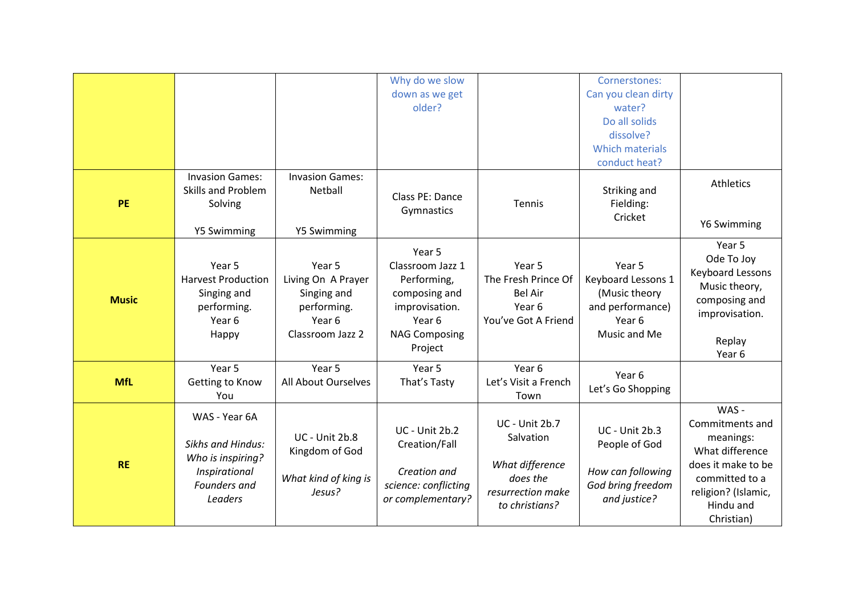|              |                                                                                                            |                                                                                                     | Why do we slow<br>down as we get<br>older?                                                                                |                                                                                                          | Cornerstones:<br>Can you clean dirty<br>water?<br>Do all solids<br>dissolve?<br><b>Which materials</b><br>conduct heat? |                                                                                                                                                    |
|--------------|------------------------------------------------------------------------------------------------------------|-----------------------------------------------------------------------------------------------------|---------------------------------------------------------------------------------------------------------------------------|----------------------------------------------------------------------------------------------------------|-------------------------------------------------------------------------------------------------------------------------|----------------------------------------------------------------------------------------------------------------------------------------------------|
| <b>PE</b>    | <b>Invasion Games:</b><br><b>Skills and Problem</b><br>Solving<br>Y5 Swimming                              | <b>Invasion Games:</b><br>Netball<br>Y5 Swimming                                                    | Class PE: Dance<br>Gymnastics                                                                                             | Tennis                                                                                                   | Striking and<br>Fielding:<br>Cricket                                                                                    | Athletics<br>Y6 Swimming                                                                                                                           |
| <b>Music</b> | Year 5<br><b>Harvest Production</b><br>Singing and<br>performing.<br>Year 6<br>Happy                       | Year 5<br>Living On A Prayer<br>Singing and<br>performing.<br>Year <sub>6</sub><br>Classroom Jazz 2 | Year 5<br>Classroom Jazz 1<br>Performing,<br>composing and<br>improvisation.<br>Year 6<br><b>NAG Composing</b><br>Project | Year 5<br>The Fresh Prince Of<br><b>Bel Air</b><br>Year <sub>6</sub><br>You've Got A Friend              | Year 5<br>Keyboard Lessons 1<br>(Music theory<br>and performance)<br>Year <sub>6</sub><br>Music and Me                  | Year 5<br>Ode To Joy<br><b>Keyboard Lessons</b><br>Music theory,<br>composing and<br>improvisation.<br>Replay<br>Year 6                            |
| <b>MfL</b>   | Year 5<br>Getting to Know<br>You                                                                           | Year 5<br>All About Ourselves                                                                       | Year 5<br>That's Tasty                                                                                                    | Year 6<br>Let's Visit a French<br>Town                                                                   | Year 6<br>Let's Go Shopping                                                                                             |                                                                                                                                                    |
| <b>RE</b>    | WAS - Year 6A<br><b>Sikhs and Hindus:</b><br>Who is inspiring?<br>Inspirational<br>Founders and<br>Leaders | <b>UC</b> - Unit 2b.8<br>Kingdom of God<br>What kind of king is<br>Jesus?                           | <b>UC - Unit 2b.2</b><br>Creation/Fall<br>Creation and<br>science: conflicting<br>or complementary?                       | <b>UC - Unit 2b.7</b><br>Salvation<br>What difference<br>does the<br>resurrection make<br>to christians? | UC - Unit 2b.3<br>People of God<br>How can following<br>God bring freedom<br>and justice?                               | WAS -<br>Commitments and<br>meanings:<br>What difference<br>does it make to be<br>committed to a<br>religion? (Islamic,<br>Hindu and<br>Christian) |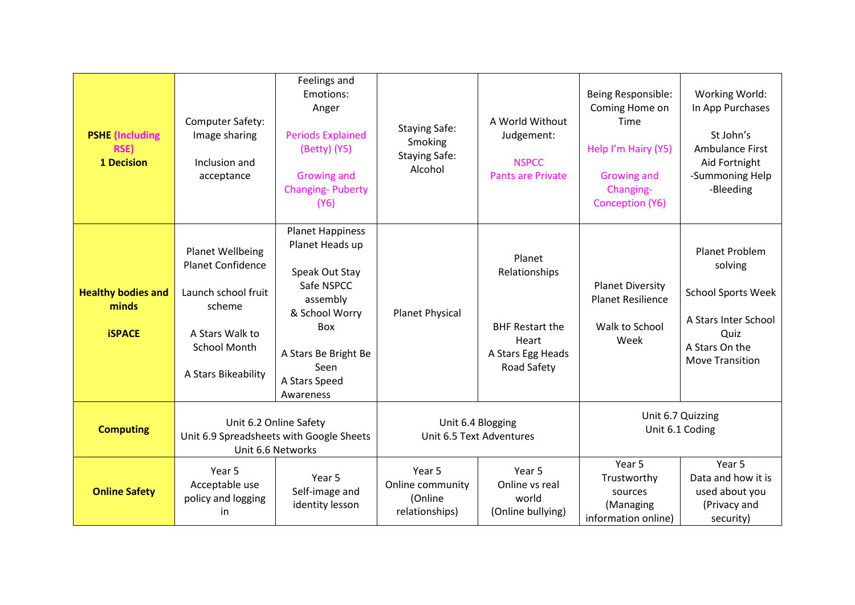| <b>PSHE</b> (Including<br><b>RSE)</b><br><b>1 Decision</b> | Computer Safety:<br>Image sharing<br>Inclusion and<br>acceptance                                                                               | Feelings and<br>Emotions:<br>Anger<br><b>Periods Explained</b><br>(Betty) (Y5)<br><b>Growing and</b><br><b>Changing-Puberty</b><br>(Y6)                                       | <b>Staying Safe:</b><br>Smoking<br><b>Staying Safe:</b><br>Alcohol | A World Without<br>Judgement:<br><b>NSPCC</b><br><b>Pants are Private</b>                      | Being Responsible:<br>Coming Home on<br>Time<br>Help I'm Hairy (Y5)<br>Growing and<br>Changing-<br>Conception (Y6) | Working World:<br>In App Purchases<br>St John's<br><b>Ambulance First</b><br>Aid Fortnight<br>-Summoning Help<br>-Bleeding         |
|------------------------------------------------------------|------------------------------------------------------------------------------------------------------------------------------------------------|-------------------------------------------------------------------------------------------------------------------------------------------------------------------------------|--------------------------------------------------------------------|------------------------------------------------------------------------------------------------|--------------------------------------------------------------------------------------------------------------------|------------------------------------------------------------------------------------------------------------------------------------|
| <b>Healthy bodies and</b><br>minds<br><b>iSPACE</b>        | <b>Planet Wellbeing</b><br>Planet Confidence<br>Launch school fruit<br>scheme<br>A Stars Walk to<br><b>School Month</b><br>A Stars Bikeability | <b>Planet Happiness</b><br>Planet Heads up<br>Speak Out Stay<br>Safe NSPCC<br>assembly<br>& School Worry<br>Box<br>A Stars Be Bright Be<br>Seen<br>A Stars Speed<br>Awareness | <b>Planet Physical</b>                                             | Planet<br>Relationships<br><b>BHF Restart the</b><br>Heart<br>A Stars Egg Heads<br>Road Safety | <b>Planet Diversity</b><br><b>Planet Resilience</b><br>Walk to School<br>Week                                      | Planet Problem<br>solving<br><b>School Sports Week</b><br>A Stars Inter School<br>Quiz<br>A Stars On the<br><b>Move Transition</b> |
| <b>Computing</b>                                           | Unit 6.2 Online Safety<br>Unit 6.9 Spreadsheets with Google Sheets<br>Unit 6.6 Networks                                                        |                                                                                                                                                                               | Unit 6.4 Blogging<br>Unit 6.5 Text Adventures                      |                                                                                                | Unit 6.7 Quizzing<br>Unit 6.1 Coding                                                                               |                                                                                                                                    |
| <b>Online Safety</b>                                       | Year 5<br>Acceptable use<br>policy and logging<br>in.                                                                                          | Year 5<br>Self-image and<br>identity lesson                                                                                                                                   | Year 5<br>Online community<br>(Online<br>relationships)            | Year 5<br>Online vs real<br>world<br>(Online bullying)                                         | Year 5<br>Trustworthy<br>sources<br>(Managing<br>information online)                                               | Year 5<br>Data and how it is<br>used about you<br>(Privacy and<br>security)                                                        |